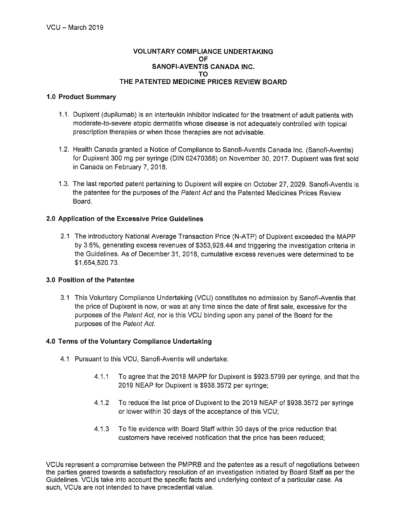### **VOLUNTARY COMPLIANCE UNDERTAKING** OF SANOFI-AVENTIS CANADA INC. TΩ THE PATENTED MEDICINE PRICES REVIEW BOARD

### 1.0 Product Summary

- 1.1. Dupixent (dupilumab) is an interleukin inhibitor indicated for the treatment of adult patients with moderate-to-severe atopic dermatitis whose disease is not adequately controlled with topical prescription therapies or when those therapies are not advisable.
- 1.2. Health Canada granted a Notice of Compliance to Sanofi-Aventis Canada Inc. (Sanofi-Aventis) for Dupixent 300 mg per syringe (DIN 02470365) on November 30, 2017. Dupixent was first sold in Canada on February 7, 2018.
- 1.3. The last reported patent pertaining to Dupixent will expire on October 27, 2029. Sanofi-Aventis is the patentee for the purposes of the Patent Act and the Patented Medicines Prices Review Board.

# 2.0 Application of the Excessive Price Guidelines

2.1 The introductory National Average Transaction Price (N-ATP) of Dupixent exceeded the MAPP by 3.6%, generating excess revenues of \$353,928.44 and triggering the investigation criteria in the Guidelines. As of December 31, 2018, cumulative excess revenues were determined to be \$1,654,520.73.

# 3.0 Position of the Patentee

3.1 This Voluntary Compliance Undertaking (VCU) constitutes no admission by Sanofi-Aventis that the price of Dupixent is now, or was at any time since the date of first sale, excessive for the purposes of the Patent Act, nor is this VCU binding upon any panel of the Board for the purposes of the Patent Act.

# 4.0 Terms of the Voluntary Compliance Undertaking

- 4.1 Pursuant to this VCU, Sanofi-Aventis will undertake:
	- $4.1.1$ To agree that the 2018 MAPP for Dupixent is \$923.5799 per syringe, and that the 2019 NEAP for Dupixent is \$938.3572 per syringe;
	- $4.1.2$ To reduce the list price of Dupixent to the 2019 NEAP of \$938,3572 per syringe or lower within 30 days of the acceptance of this VCU;
	- $4.1.3$ To file evidence with Board Staff within 30 days of the price reduction that customers have received notification that the price has been reduced;

VCUs represent a compromise between the PMPRB and the patentee as a result of negotiations between the parties geared towards a satisfactory resolution of an investigation initiated by Board Staff as per the Guidelines. VCUs take into account the specific facts and underlying context of a particular case. As such, VCUs are not intended to have precedential value.